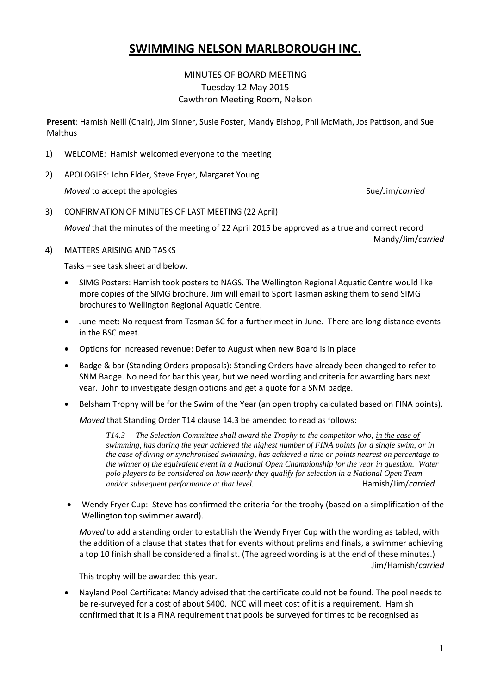## **SWIMMING NELSON MARLBOROUGH INC.**

## MINUTES OF BOARD MEETING Tuesday 12 May 2015 Cawthron Meeting Room, Nelson

**Present**: Hamish Neill (Chair), Jim Sinner, Susie Foster, Mandy Bishop, Phil McMath, Jos Pattison, and Sue **Malthus** 

- 1) WELCOME: Hamish welcomed everyone to the meeting
- 2) APOLOGIES: John Elder, Steve Fryer, Margaret Young

*Moved* to accept the apologies Suelling and Suelling Suelling Suelling Suelling Suelling Suelling Suelling Suelling Suelling Suelling Suelling Suelling Suelling Suelling Suelling Suelling Suelling Suelling Suelling Suelli

3) CONFIRMATION OF MINUTES OF LAST MEETING (22 April)

*Moved* that the minutes of the meeting of 22 April 2015 be approved as a true and correct record Mandy/Jim/*carried*

### 4) MATTERS ARISING AND TASKS

Tasks – see task sheet and below.

- SIMG Posters: Hamish took posters to NAGS. The Wellington Regional Aquatic Centre would like more copies of the SIMG brochure. Jim will email to Sport Tasman asking them to send SIMG brochures to Wellington Regional Aquatic Centre.
- June meet: No request from Tasman SC for a further meet in June. There are long distance events in the BSC meet.
- Options for increased revenue: Defer to August when new Board is in place
- Badge & bar (Standing Orders proposals): Standing Orders have already been changed to refer to SNM Badge. No need for bar this year, but we need wording and criteria for awarding bars next year. John to investigate design options and get a quote for a SNM badge.
- Belsham Trophy will be for the Swim of the Year (an open trophy calculated based on FINA points).

*Moved* that Standing Order T14 clause 14.3 be amended to read as follows:

*T14.3 The Selection Committee shall award the Trophy to the competitor who, in the case of swimming, has during the year achieved the highest number of FINA points for a single swim, or in the case of diving or synchronised swimming, has achieved a time or points nearest on percentage to the winner of the equivalent event in a National Open Championship for the year in question. Water polo players to be considered on how nearly they qualify for selection in a National Open Team and/or subsequent performance at that level.* Hamish/Jim/*carried*

 Wendy Fryer Cup: Steve has confirmed the criteria for the trophy (based on a simplification of the Wellington top swimmer award).

*Moved* to add a standing order to establish the Wendy Fryer Cup with the wording as tabled, with the addition of a clause that states that for events without prelims and finals, a swimmer achieving a top 10 finish shall be considered a finalist. (The agreed wording is at the end of these minutes.)

This trophy will be awarded this year.

 Nayland Pool Certificate: Mandy advised that the certificate could not be found. The pool needs to be re-surveyed for a cost of about \$400. NCC will meet cost of it is a requirement. Hamish confirmed that it is a FINA requirement that pools be surveyed for times to be recognised as

Jim/Hamish/*carried*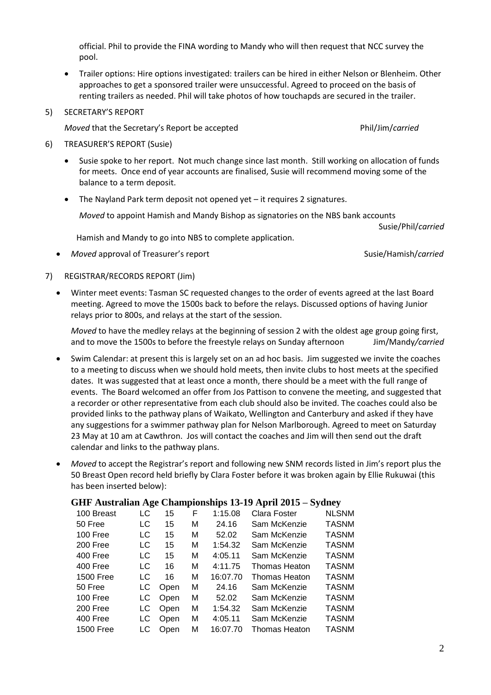official. Phil to provide the FINA wording to Mandy who will then request that NCC survey the pool.

 Trailer options: Hire options investigated: trailers can be hired in either Nelson or Blenheim. Other approaches to get a sponsored trailer were unsuccessful. Agreed to proceed on the basis of renting trailers as needed. Phil will take photos of how touchapds are secured in the trailer.

#### 5) SECRETARY'S REPORT

*Moved* that the Secretary's Report be accepted **Phil/Jim/***carried* Phil/Jim/*carried* 

- 6) TREASURER'S REPORT (Susie)
	- Susie spoke to her report. Not much change since last month. Still working on allocation of funds for meets. Once end of year accounts are finalised, Susie will recommend moving some of the balance to a term deposit.
	- The Nayland Park term deposit not opened yet it requires 2 signatures.

*Moved* to appoint Hamish and Mandy Bishop as signatories on the NBS bank accounts

Hamish and Mandy to go into NBS to complete application.

• Moved approval of Treasurer's report Susie/Hamish/*carried* Susie/Hamish/*carried* 

Susie/Phil/*carried*

- 7) REGISTRAR/RECORDS REPORT (Jim)
	- Winter meet events: Tasman SC requested changes to the order of events agreed at the last Board meeting. Agreed to move the 1500s back to before the relays. Discussed options of having Junior relays prior to 800s, and relays at the start of the session.

*Moved* to have the medley relays at the beginning of session 2 with the oldest age group going first, and to move the 1500s to before the freestyle relays on Sunday afternoon Jim/Mandy*/carried*

- Swim Calendar: at present this is largely set on an ad hoc basis. Jim suggested we invite the coaches to a meeting to discuss when we should hold meets, then invite clubs to host meets at the specified dates. It was suggested that at least once a month, there should be a meet with the full range of events. The Board welcomed an offer from Jos Pattison to convene the meeting, and suggested that a recorder or other representative from each club should also be invited. The coaches could also be provided links to the pathway plans of Waikato, Wellington and Canterbury and asked if they have any suggestions for a swimmer pathway plan for Nelson Marlborough. Agreed to meet on Saturday 23 May at 10 am at Cawthron. Jos will contact the coaches and Jim will then send out the draft calendar and links to the pathway plans.
- *Moved* to accept the Registrar's report and following new SNM records listed in Jim's report plus the 50 Breast Open record held briefly by Clara Foster before it was broken again by Ellie Rukuwai (this has been inserted below):

### **GHF Australian Age Championships 13-19 April 2015 – Sydney**

| 100 Breast       | LC | 15   | F | 1:15.08  | Clara Foster         | <b>NLSNM</b> |
|------------------|----|------|---|----------|----------------------|--------------|
| 50 Free          | LC | 15   | м | 24.16    | Sam McKenzie         | <b>TASNM</b> |
| 100 Free         | LC | 15   | м | 52.02    | Sam McKenzie         | <b>TASNM</b> |
| 200 Free         | LC | 15   | м | 1:54.32  | Sam McKenzie         | <b>TASNM</b> |
| 400 Free         | LC | 15   | м | 4:05.11  | Sam McKenzie         | <b>TASNM</b> |
| 400 Free         | LC | 16   | м | 4:11.75  | <b>Thomas Heaton</b> | <b>TASNM</b> |
| <b>1500 Free</b> | LC | 16   | М | 16:07.70 | Thomas Heaton        | <b>TASNM</b> |
| 50 Free          | LC | Open | М | 24.16    | Sam McKenzie         | <b>TASNM</b> |
| 100 Free         | LC | Open | М | 52.02    | Sam McKenzie         | <b>TASNM</b> |
| 200 Free         | LC | Open | М | 1:54.32  | Sam McKenzie         | <b>TASNM</b> |
| 400 Free         | LC | Open | м | 4:05.11  | Sam McKenzie         | <b>TASNM</b> |
| <b>1500 Free</b> | LC | Open | М | 16:07.70 | <b>Thomas Heaton</b> | <b>TASNM</b> |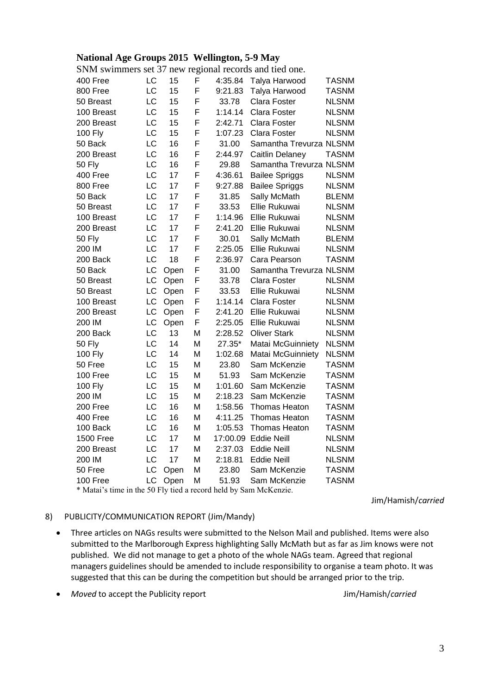## **National Age Groups 2015 Wellington, 5-9 May**

| SNM swimmers set 37 new regional records and tied one.           |           |      |   |          |                         |              |  |  |
|------------------------------------------------------------------|-----------|------|---|----------|-------------------------|--------------|--|--|
| 400 Free                                                         | <b>LC</b> | 15   | F | 4:35.84  | Talya Harwood           | <b>TASNM</b> |  |  |
| 800 Free                                                         | LC        | 15   | F | 9:21.83  | Talya Harwood           | <b>TASNM</b> |  |  |
| 50 Breast                                                        | LC        | 15   | F | 33.78    | Clara Foster            | <b>NLSNM</b> |  |  |
| 100 Breast                                                       | LC        | 15   | F | 1:14.14  | <b>Clara Foster</b>     | <b>NLSNM</b> |  |  |
| 200 Breast                                                       | LC        | 15   | F | 2:42.71  | Clara Foster            | <b>NLSNM</b> |  |  |
| 100 Fly                                                          | LC        | 15   | F | 1:07.23  | Clara Foster            | <b>NLSNM</b> |  |  |
| 50 Back                                                          | LC        | 16   | F | 31.00    | Samantha Trevurza NLSNM |              |  |  |
| 200 Breast                                                       | LC        | 16   | F | 2:44.97  | Caitlin Delaney         | TASNM        |  |  |
| <b>50 Fly</b>                                                    | LC        | 16   | F | 29.88    | Samantha Trevurza NLSNM |              |  |  |
| 400 Free                                                         | LC        | 17   | F | 4:36.61  | <b>Bailee Spriggs</b>   | <b>NLSNM</b> |  |  |
| 800 Free                                                         | LC        | 17   | F | 9:27.88  | <b>Bailee Spriggs</b>   | <b>NLSNM</b> |  |  |
| 50 Back                                                          | LC        | 17   | F | 31.85    | Sally McMath            | <b>BLENM</b> |  |  |
| 50 Breast                                                        | LC        | 17   | F | 33.53    | Ellie Rukuwai           | <b>NLSNM</b> |  |  |
| 100 Breast                                                       | LC        | 17   | F | 1:14.96  | Ellie Rukuwai           | <b>NLSNM</b> |  |  |
| 200 Breast                                                       | LC        | 17   | F | 2:41.20  | Ellie Rukuwai           | <b>NLSNM</b> |  |  |
| <b>50 Fly</b>                                                    | LC        | 17   | F | 30.01    | Sally McMath            | <b>BLENM</b> |  |  |
| 200 IM                                                           | <b>LC</b> | 17   | F | 2:25.05  | Ellie Rukuwai           | <b>NLSNM</b> |  |  |
| 200 Back                                                         | LC        | 18   | F | 2:36.97  | Cara Pearson            | <b>TASNM</b> |  |  |
| 50 Back                                                          | LC        | Open | F | 31.00    | Samantha Trevurza NLSNM |              |  |  |
| 50 Breast                                                        | <b>LC</b> | Open | F | 33.78    | Clara Foster            | <b>NLSNM</b> |  |  |
| 50 Breast                                                        | LC        | Open | F | 33.53    | Ellie Rukuwai           | <b>NLSNM</b> |  |  |
| 100 Breast                                                       | LC        | Open | F | 1:14.14  | Clara Foster            | <b>NLSNM</b> |  |  |
| 200 Breast                                                       | LC        | Open | F | 2:41.20  | Ellie Rukuwai           | <b>NLSNM</b> |  |  |
| 200 IM                                                           | LC        | Open | F | 2:25.05  | Ellie Rukuwai           | <b>NLSNM</b> |  |  |
| 200 Back                                                         | LC        | 13   | M | 2:28.52  | <b>Oliver Stark</b>     | <b>NLSNM</b> |  |  |
| 50 Fly                                                           | LC        | 14   | M | 27.35*   | Matai McGuinniety       | <b>NLSNM</b> |  |  |
| 100 Fly                                                          | LC        | 14   | M | 1:02.68  | Matai McGuinniety       | <b>NLSNM</b> |  |  |
| 50 Free                                                          | LC        | 15   | Μ | 23.80    | Sam McKenzie            | <b>TASNM</b> |  |  |
| 100 Free                                                         | LC        | 15   | M | 51.93    | Sam McKenzie            | <b>TASNM</b> |  |  |
| 100 Fly                                                          | LC        | 15   | M | 1:01.60  | Sam McKenzie            | <b>TASNM</b> |  |  |
| 200 IM                                                           | LC        | 15   | М | 2:18.23  | Sam McKenzie            | <b>TASNM</b> |  |  |
| 200 Free                                                         | <b>LC</b> | 16   | Μ | 1:58.56  | <b>Thomas Heaton</b>    | <b>TASNM</b> |  |  |
| 400 Free                                                         | LC        | 16   | М | 4:11.25  | Thomas Heaton           | <b>TASNM</b> |  |  |
| 100 Back                                                         | LC        | 16   | Μ | 1:05.53  | <b>Thomas Heaton</b>    | <b>TASNM</b> |  |  |
| <b>1500 Free</b>                                                 | LC        | 17   | M | 17:00.09 | <b>Eddie Neill</b>      | <b>NLSNM</b> |  |  |
| 200 Breast                                                       | LC        | 17   | M | 2:37.03  | <b>Eddie Neill</b>      | <b>NLSNM</b> |  |  |
| 200 IM                                                           | LC        | 17   | M | 2:18.81  | <b>Eddie Neill</b>      | <b>NLSNM</b> |  |  |
| 50 Free                                                          | LC        | Open | M | 23.80    | Sam McKenzie            | <b>TASNM</b> |  |  |
| 100 Free                                                         | LC        | Open | M | 51.93    | Sam McKenzie            | <b>TASNM</b> |  |  |
| * Matai's time in the 50 Fly tied a record held by Sam McKenzie. |           |      |   |          |                         |              |  |  |

Jim/Hamish/*carried*

#### 8) PUBLICITY/COMMUNICATION REPORT (Jim/Mandy)

 Three articles on NAGs results were submitted to the Nelson Mail and published. Items were also submitted to the Marlborough Express highlighting Sally McMath but as far as Jim knows were not published. We did not manage to get a photo of the whole NAGs team. Agreed that regional managers guidelines should be amended to include responsibility to organise a team photo. It was suggested that this can be during the competition but should be arranged prior to the trip.

• Moved to accept the Publicity report **Acception 1** and the United States Moved to accept the Publicity report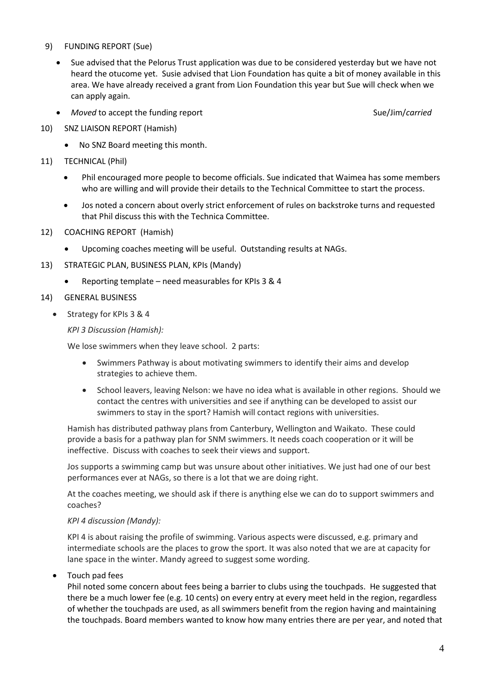#### 9) FUNDING REPORT (Sue)

- Sue advised that the Pelorus Trust application was due to be considered yesterday but we have not heard the otucome yet. Susie advised that Lion Foundation has quite a bit of money available in this area. We have already received a grant from Lion Foundation this year but Sue will check when we can apply again.
- Moved to accept the funding report Suelling Suelling and Suelling Carried Suelling Carried
- 10) SNZ LIAISON REPORT (Hamish)
	- No SNZ Board meeting this month.
- 11) TECHNICAL (Phil)
	- Phil encouraged more people to become officials. Sue indicated that Waimea has some members who are willing and will provide their details to the Technical Committee to start the process.
	- Jos noted a concern about overly strict enforcement of rules on backstroke turns and requested that Phil discuss this with the Technica Committee.
- 12) COACHING REPORT (Hamish)
	- Upcoming coaches meeting will be useful. Outstanding results at NAGs.
- 13) STRATEGIC PLAN, BUSINESS PLAN, KPIs (Mandy)
	- Reporting template need measurables for KPIs 3 & 4
- 14) GENERAL BUSINESS
	- Strategy for KPIs 3 & 4

*KPI 3 Discussion (Hamish):*

We lose swimmers when they leave school. 2 parts:

- Swimmers Pathway is about motivating swimmers to identify their aims and develop strategies to achieve them.
- School leavers, leaving Nelson: we have no idea what is available in other regions. Should we contact the centres with universities and see if anything can be developed to assist our swimmers to stay in the sport? Hamish will contact regions with universities.

Hamish has distributed pathway plans from Canterbury, Wellington and Waikato. These could provide a basis for a pathway plan for SNM swimmers. It needs coach cooperation or it will be ineffective. Discuss with coaches to seek their views and support.

Jos supports a swimming camp but was unsure about other initiatives. We just had one of our best performances ever at NAGs, so there is a lot that we are doing right.

At the coaches meeting, we should ask if there is anything else we can do to support swimmers and coaches?

#### *KPI 4 discussion (Mandy):*

KPI 4 is about raising the profile of swimming. Various aspects were discussed, e.g. primary and intermediate schools are the places to grow the sport. It was also noted that we are at capacity for lane space in the winter. Mandy agreed to suggest some wording.

Touch pad fees

Phil noted some concern about fees being a barrier to clubs using the touchpads. He suggested that there be a much lower fee (e.g. 10 cents) on every entry at every meet held in the region, regardless of whether the touchpads are used, as all swimmers benefit from the region having and maintaining the touchpads. Board members wanted to know how many entries there are per year, and noted that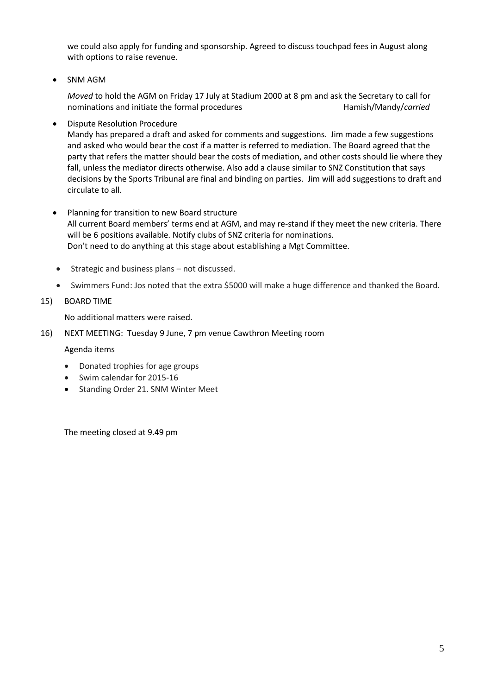we could also apply for funding and sponsorship. Agreed to discuss touchpad fees in August along with options to raise revenue.

• SNM AGM

*Moved* to hold the AGM on Friday 17 July at Stadium 2000 at 8 pm and ask the Secretary to call for nominations and initiate the formal procedures **Hamish/Mandy/carried** 

Dispute Resolution Procedure

Mandy has prepared a draft and asked for comments and suggestions. Jim made a few suggestions and asked who would bear the cost if a matter is referred to mediation. The Board agreed that the party that refers the matter should bear the costs of mediation, and other costs should lie where they fall, unless the mediator directs otherwise. Also add a clause similar to SNZ Constitution that says decisions by the Sports Tribunal are final and binding on parties. Jim will add suggestions to draft and circulate to all.

- Planning for transition to new Board structure All current Board members' terms end at AGM, and may re-stand if they meet the new criteria. There will be 6 positions available. Notify clubs of SNZ criteria for nominations. Don't need to do anything at this stage about establishing a Mgt Committee.
	- Strategic and business plans not discussed.
	- Swimmers Fund: Jos noted that the extra \$5000 will make a huge difference and thanked the Board.
- 15) BOARD TIME

No additional matters were raised.

16) NEXT MEETING: Tuesday 9 June, 7 pm venue Cawthron Meeting room

Agenda items

- Donated trophies for age groups
- Swim calendar for 2015-16
- Standing Order 21. SNM Winter Meet

The meeting closed at 9.49 pm